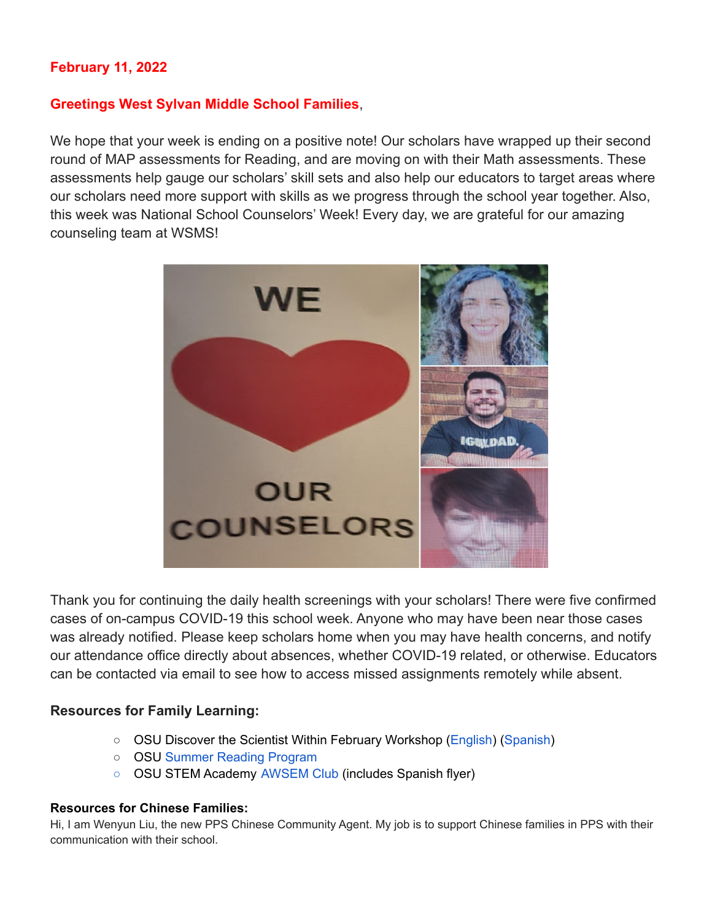## **February 11, 2022**

#### **Greetings West Sylvan Middle School Families**,

We hope that your week is ending on a positive note! Our scholars have wrapped up their second round of MAP assessments for Reading, and are moving on with their Math assessments. These assessments help gauge our scholars' skill sets and also help our educators to target areas where our scholars need more support with skills as we progress through the school year together. Also, this week was National School Counselors' Week! Every day, we are grateful for our amazing counseling team at WSMS!



Thank you for continuing the daily health screenings with your scholars! There were five confirmed cases of on-campus COVID-19 this school week. Anyone who may have been near those cases was already notified. Please keep scholars home when you may have health concerns, and notify our attendance office directly about absences, whether COVID-19 related, or otherwise. Educators can be contacted via email to see how to access missed assignments remotely while absent.

#### **Resources for Family Learning:**

- OSU Discover the Scientist Within February Workshop [\(English](https://www.pps.net/cms/lib/OR01913224/Centricity/Domain/254/FebDSW2022Flyer.pdf)) ([Spanish\)](https://www.pps.net/cms/lib/OR01913224/Centricity/Domain/254/FebDSW2022FlyerSpanish.pdf)
- OSU Summer Reading [Program](https://www.pps.net/cms/lib/OR01913224/Centricity/Domain/254/OSU-reading-summer-2022.pdf)
- OSU STEM Academy [AWSEM](https://www.pps.net/cms/lib/OR01913224/Centricity/Domain/254/AWSEM_Flyer_Combined_General.pdf) Club (includes Spanish flyer)

#### **Resources for Chinese Families:**

Hi, I am Wenyun Liu, the new PPS Chinese Community Agent. My job is to support Chinese families in PPS with their communication with their school.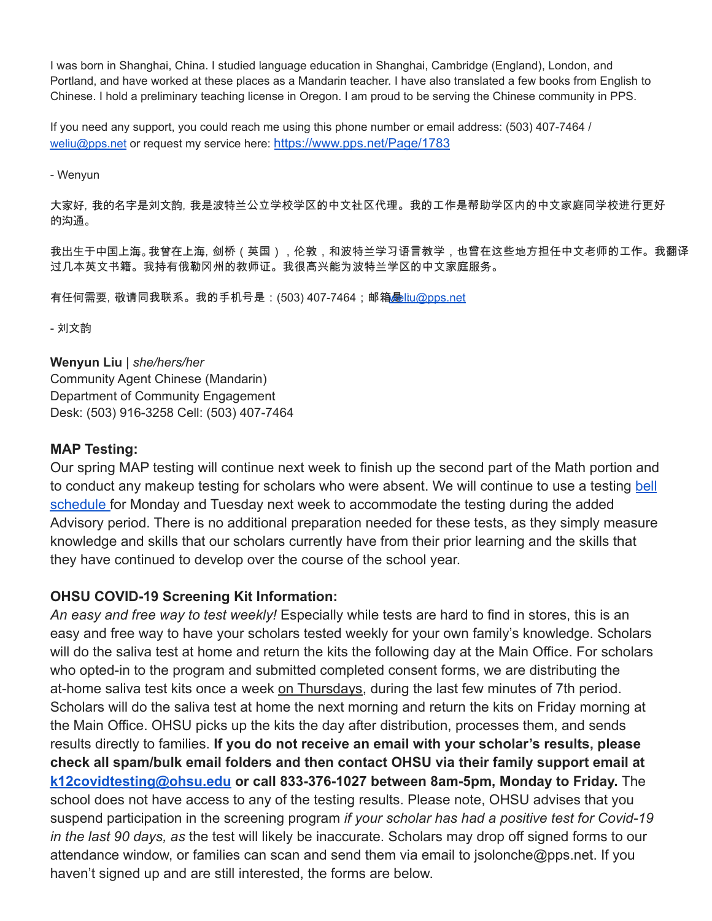I was born in Shanghai, China. I studied language education in Shanghai, Cambridge (England), London, and Portland, and have worked at these places as a Mandarin teacher. I have also translated a few books from English to Chinese. I hold a preliminary teaching license in Oregon. I am proud to be serving the Chinese community in PPS.

If you need any support, you could reach me using this phone number or email address: (503) 407-7464 / [weliu@pps.net](mailto:weliu@pps.net) or request my service here: <https://www.pps.net/Page/1783>

- Wenyun

大家好,我的名字是刘文韵,我是波特兰公立学校学区的中文社区代理。我的工作是帮助学区内的中文家庭同学校进行更好 的沟通。

我出生于中国上海。我曾在上海,剑桥(英国),伦敦,和波特兰学习语言教学,也曾在这些地方担任中文老师的工作。我翻译 过几本英文书籍。我持有俄勒冈州的教师证。我很高兴能为波特兰学区的中文家庭服务。

<u>有任何需要, 敬请同我联系。我的手机号是:(503) 407-7464;邮箱D[liu@pps.net](mailto:weliu@pps.net)</u>

- 刘文韵

**Wenyun Liu** | *she/hers/her* Community Agent Chinese (Mandarin) Department of Community Engagement Desk: (503) 916-3258 Cell: (503) 407-7464

#### **MAP Testing:**

Our spring MAP testing will continue next week to finish up the second part of the Math portion and to conduct any makeup testing for scholars who were absent. We will continue to use a testing [bell](https://docs.google.com/document/d/16n5BnZWCVRczSwJz2GTJuOeJmIzFJM5JOtwZopflFYc/edit?usp=sharing) [schedule](https://docs.google.com/document/d/16n5BnZWCVRczSwJz2GTJuOeJmIzFJM5JOtwZopflFYc/edit?usp=sharing) for Monday and Tuesday next week to accommodate the testing during the added Advisory period. There is no additional preparation needed for these tests, as they simply measure knowledge and skills that our scholars currently have from their prior learning and the skills that they have continued to develop over the course of the school year.

### **OHSU COVID-19 Screening Kit Information:**

*An easy and free way to test weekly!* Especially while tests are hard to find in stores, this is an easy and free way to have your scholars tested weekly for your own family's knowledge. Scholars will do the saliva test at home and return the kits the following day at the Main Office. For scholars who opted-in to the program and submitted completed consent forms, we are distributing the at-home saliva test kits once a week on Thursdays, during the last few minutes of 7th period. Scholars will do the saliva test at home the next morning and return the kits on Friday morning at the Main Office. OHSU picks up the kits the day after distribution, processes them, and sends results directly to families. **If you do not receive an email with your scholar's results, please check all spam/bulk email folders and then contact OHSU via their family support email at [k12covidtesting@ohsu.edu](mailto:k12covidtesting@ohsu.edu) or call 833-376-1027 between 8am-5pm, Monday to Friday.** The school does not have access to any of the testing results. Please note, OHSU advises that you suspend participation in the screening program *if your scholar has had a positive test for Covid-19 in the last 90 days, as* the test will likely be inaccurate. Scholars may drop off signed forms to our attendance window, or families can scan and send them via email to jsolonche@pps.net. If you haven't signed up and are still interested, the forms are below.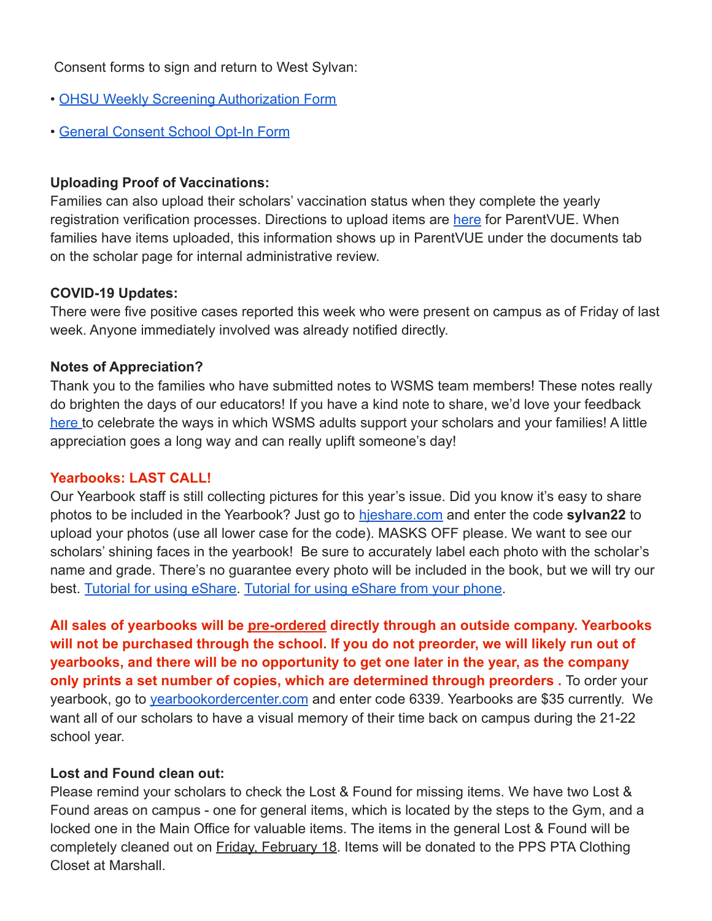## Consent forms to sign and return to West Sylvan:

- [OHSU Weekly Screening Authorization Form](https://drive.google.com/file/d/1WKfLwknOXIYGfjiVTURKB7wvlQW8DAhR/view?usp=sharing)
- [General Consent School Opt-In Form](https://drive.google.com/file/d/1JELJW3M6_gp013Dp_Z7QDpvKmsqC5G-S/view?usp=sharing)

## **Uploading Proof of Vaccinations:**

Families can also upload their scholars' vaccination status when they complete the yearly registration verification processes. Directions to upload items are [here](https://docs.google.com/document/d/1AxHhVVEjAqJxV1Vuh9PnfwkZHcp-Tde_x6iFOOEy58Y/edit) for ParentVUE. When families have items uploaded, this information shows up in ParentVUE under the documents tab on the scholar page for internal administrative review.

### **COVID-19 Updates:**

There were five positive cases reported this week who were present on campus as of Friday of last week. Anyone immediately involved was already notified directly.

### **Notes of Appreciation?**

Thank you to the families who have submitted notes to WSMS team members! These notes really do brighten the days of our educators! If you have a kind note to share, we'd love your feedback [here](https://forms.gle/3TsJKYDfcfbLhiKu7) to celebrate the ways in which WSMS adults support your scholars and your families! A little appreciation goes a long way and can really uplift someone's day!

#### **Yearbooks: LAST CALL!**

Our Yearbook staff is still collecting pictures for this year's issue. Did you know it's easy to share photos to be included in the Yearbook? Just go to [hjeshare.com](https://hjeshare.com/eShare/) and enter the code **sylvan22** to upload your photos (use all lower case for the code). MASKS OFF please. We want to see our scholars' shining faces in the yearbook! Be sure to accurately label each photo with the scholar's name and grade. There's no guarantee every photo will be included in the book, but we will try our best. [Tutorial for using eShare.](https://herffjones.wistia.com/medias/h1e7m2ythz) Tutorial for using [eShare from your phone.](https://herffjones.wistia.com/medias/62ap3qbbp3)

**All sales of yearbooks will be pre-ordered directly through an outside company. Yearbooks will not be purchased through the school. If you do not preorder, we will likely run out of yearbooks, and there will be no opportunity to get one later in the year, as the company only prints a set number of copies, which are determined through preorders .** To order your yearbook, go to [yearbookordercenter.com](http://yearbookordercenter.com) and enter code 6339. Yearbooks are \$35 currently. We want all of our scholars to have a visual memory of their time back on campus during the 21-22 school year.

### **Lost and Found clean out:**

Please remind your scholars to check the Lost & Found for missing items. We have two Lost & Found areas on campus - one for general items, which is located by the steps to the Gym, and a locked one in the Main Office for valuable items. The items in the general Lost & Found will be completely cleaned out on **Friday, February 18**. Items will be donated to the PPS PTA Clothing Closet at Marshall.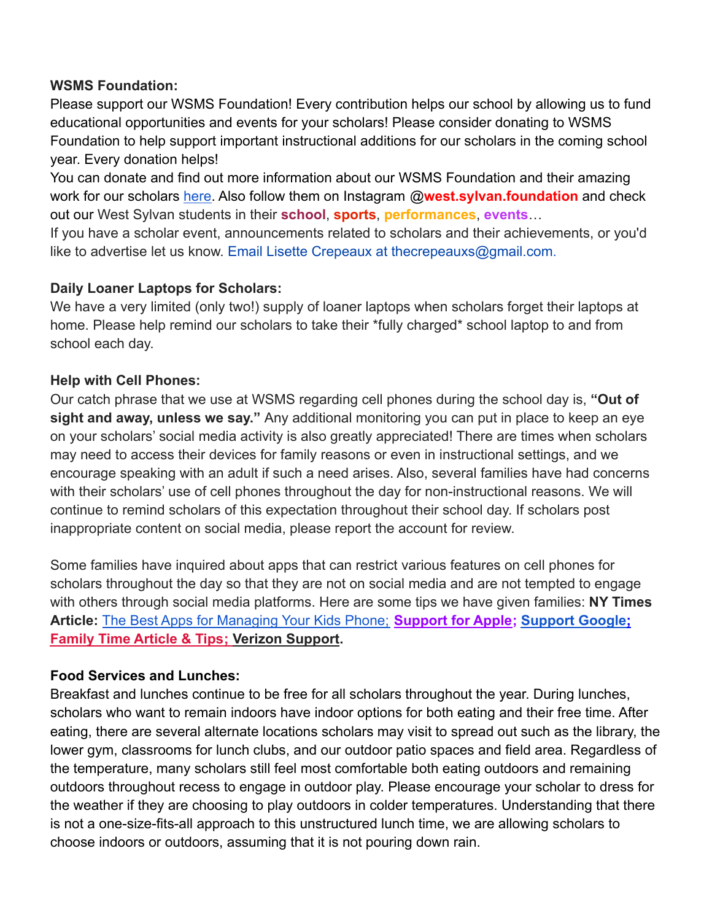### **WSMS Foundation:**

Please support our WSMS Foundation! Every contribution helps our school by allowing us to fund educational opportunities and events for your scholars! Please consider donating to WSMS Foundation to help support important instructional additions for our scholars in the coming school year. Every donation helps!

You can donate and find out more information about our WSMS Foundation and their amazing work for our scholars [here.](https://www.westsylvanfoundation.com/) Also follow them on Instagram @**west.sylvan.foundation** and check out our West Sylvan students in their **school**, **sports**, **performances**, **events**…

If you have a scholar event, announcements related to scholars and their achievements, or you'd like to advertise let us know. Email Lisette Crepeaux at thecrepeauxs@gmail.com.

## **Daily Loaner Laptops for Scholars:**

We have a very limited (only two!) supply of loaner laptops when scholars forget their laptops at home. Please help remind our scholars to take their \*fully charged\* school laptop to and from school each day.

## **Help with Cell Phones:**

Our catch phrase that we use at WSMS regarding cell phones during the school day is, **"Out of sight and away, unless we say."** Any additional monitoring you can put in place to keep an eye on your scholars' social media activity is also greatly appreciated! There are times when scholars may need to access their devices for family reasons or even in instructional settings, and we encourage speaking with an adult if such a need arises. Also, several families have had concerns with their scholars' use of cell phones throughout the day for non-instructional reasons. We will continue to remind scholars of this expectation throughout their school day. If scholars post inappropriate content on social media, please report the account for review.

Some families have inquired about apps that can restrict various features on cell phones for scholars throughout the day so that they are not on social media and are not tempted to engage with others through social media platforms. Here are some tips we have given families: **NY Times Article:** [The Best Apps for Managing Your Kids Phone;](https://www.nytimes.com/wirecutter/reviews/best-apps-to-manage-your-kids-phone/) **[Support for Apple;](https://support.apple.com/guide/iphone/set-up-parental-controls-iph00ba7d632/ios) [Support Google;](https://support.google.com/families/answer/7103340?hl=en) [Family Time Article & Tips;](https://familytime.io/) [Verizon Support](https://www.verizon.com/support/verizon-smart-family-restrictions-video/).**

# **Food Services and Lunches:**

Breakfast and lunches continue to be free for all scholars throughout the year. During lunches, scholars who want to remain indoors have indoor options for both eating and their free time. After eating, there are several alternate locations scholars may visit to spread out such as the library, the lower gym, classrooms for lunch clubs, and our outdoor patio spaces and field area. Regardless of the temperature, many scholars still feel most comfortable both eating outdoors and remaining outdoors throughout recess to engage in outdoor play. Please encourage your scholar to dress for the weather if they are choosing to play outdoors in colder temperatures. Understanding that there is not a one-size-fits-all approach to this unstructured lunch time, we are allowing scholars to choose indoors or outdoors, assuming that it is not pouring down rain.